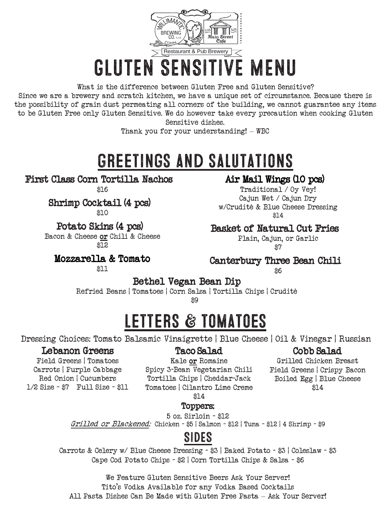

# GLUTEN SENSITIVE MENU

What is the difference between Gluten Free and Gluten Sensitive? Since we are a brewery and scratch kitchen, we have a unique set of circumstance. Because there is the possibility of grain dust permeating all corners of the building, we cannot guarantee any items to be Gluten Free only Gluten Sensitive. We do however take every precaution when cooking Gluten Sensitive dishes.

Thank you for your understanding! – WBC

## GREETINGS AND SALUTATIONS

First Class Corn Tortilla Nachos

\$16

Shrimp Cocktail (4 pcs)

\$10

Potato Skins (4 pcs)

Bacon & Cheese or Chili & Cheese \$12

Mozzarella & Tomato

#### \$11

#### Air Mail Wings (10 pcs)

Traditional / Oy Vey! Cajun Wet / Cajun Dry w/Crudité & Blue Cheese Dressing \$14

#### Basket of Natural Cut Fries

Plain, Cajun, or Garlic \$7

#### Canterbury Three Bean Chili

\$6

Bethel Vegan Bean Dip<br>Refried Beans | Tomatoes | Corn Salsa | Tortilla Chips | Crudité

\$9

## LETTERS & TOMATOES

Dressing Choices: Tomato Balsamic Vinaigrette | Blue Cheese | Oil & Vinegar | Russian

#### Lebanon Greens

#### Taco Salad

#### Cobb Salad Grilled Chicken Breast

Field Greens | Crispy Bacon Boiled Egg | Blue Cheese \$14

Field Greens | Tomatoes Carrots | Purple Cabbage Red Onion | Cucumbers 1/2 Size - \$7 Full Size - \$11

Kale or Romaine Spicy 3-Bean Vegetarian Chili Tortilla Chips | Cheddar-Jack Tomatoes | Cilantro Lime Creme

\$14

#### Toppers:

5 oz. Sirloin - \$12

Grilled or Blackened: Chicken - \$5 | Salmon - \$12 | Tuna - \$12 | 4 Shrimp - \$9

### SIDES

Carrots & Celery w/ Blue Cheese Dressing - \$3 | Baked Potato - \$3 | Coleslaw - \$3 Cape Cod Potato Chips - \$2 | Corn Tortilla Chips & Salsa - \$6

We Feature Gluten Sensitive Beers Ask Your Server! Tito's Vodka Available for any Vodka Based Cocktails All Pasta Dishes Can Be Made with Gluten Free Pasta – Ask Your Server!